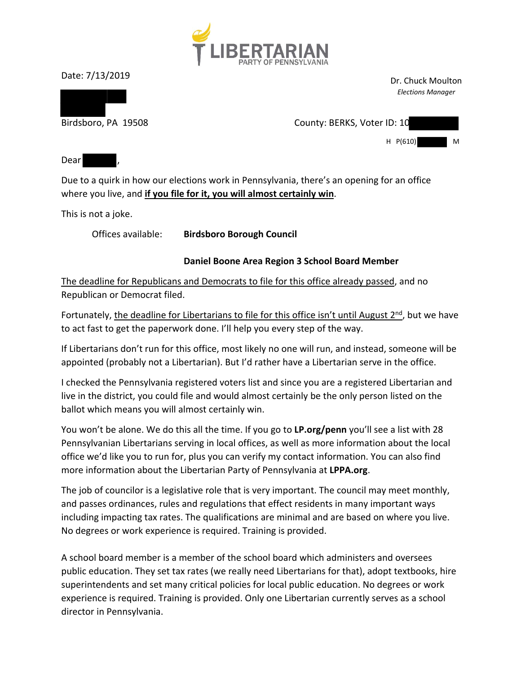

Date: 7/13/2019

Dr. Chuck Moulton *Elections Manager*

Birdsboro, PA 19508 County: BERKS, Voter ID: 10

 $H$   $P(610)$ 

Dear

Due to a quirk in how our elections work in Pennsylvania, there's an opening for an office where you live, and **if you file for it, you will almost certainly win**.

This is not a joke.

Offices available: **Birdsboro Borough Council** 

## **Daniel Boone Area Region 3 School Board Member**

The deadline for Republicans and Democrats to file for this office already passed, and no Republican or Democrat filed.

Fortunately, the deadline for Libertarians to file for this office isn't until August  $2<sup>nd</sup>$ , but we have to act fast to get the paperwork done. I'll help you every step of the way.

If Libertarians don't run for this office, most likely no one will run, and instead, someone will be appointed (probably not a Libertarian). But I'd rather have a Libertarian serve in the office.

I checked the Pennsylvania registered voters list and since you are a registered Libertarian and live in the district, you could file and would almost certainly be the only person listed on the ballot which means you will almost certainly win.

You won't be alone. We do this all the time. If you go to **LP.org/penn** you'll see a list with 28 Pennsylvanian Libertarians serving in local offices, as well as more information about the local office we'd like you to run for, plus you can verify my contact information. You can also find more information about the Libertarian Party of Pennsylvania at **LPPA.org**.

The job of councilor is a legislative role that is very important. The council may meet monthly, and passes ordinances, rules and regulations that effect residents in many important ways including impacting tax rates. The qualifications are minimal and are based on where you live. No degrees or work experience is required. Training is provided.

A school board member is a member of the school board which administers and oversees public education. They set tax rates (we really need Libertarians for that), adopt textbooks, hire superintendents and set many critical policies for local public education. No degrees or work experience is required. Training is provided. Only one Libertarian currently serves as a school director in Pennsylvania.